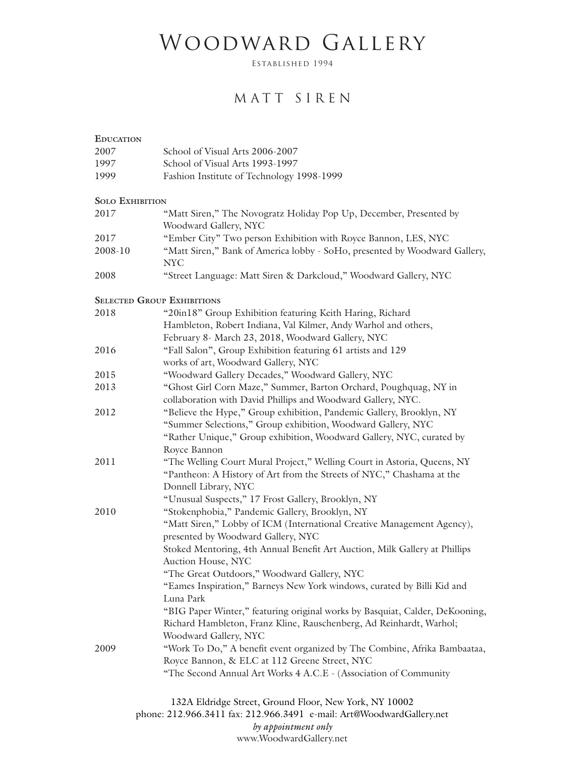## WOODWARD GALLERY

ESTABLISHED 1994

## MATT SIREN

| <b>EDUCATION</b>                  |                                                                                             |
|-----------------------------------|---------------------------------------------------------------------------------------------|
| 2007                              | School of Visual Arts 2006-2007                                                             |
| 1997                              | School of Visual Arts 1993-1997                                                             |
| 1999                              | Fashion Institute of Technology 1998-1999                                                   |
| <b>SOLO EXHIBITION</b>            |                                                                                             |
| 2017                              | "Matt Siren," The Novogratz Holiday Pop Up, December, Presented by<br>Woodward Gallery, NYC |
| 2017                              | "Ember City" Two person Exhibition with Royce Bannon, LES, NYC                              |
| 2008-10                           | "Matt Siren," Bank of America lobby - SoHo, presented by Woodward Gallery,<br><b>NYC</b>    |
| 2008                              | "Street Language: Matt Siren & Darkcloud," Woodward Gallery, NYC                            |
| <b>SELECTED GROUP EXHIBITIONS</b> |                                                                                             |
| 2018                              | "20in18" Group Exhibition featuring Keith Haring, Richard                                   |
|                                   | Hambleton, Robert Indiana, Val Kilmer, Andy Warhol and others,                              |
|                                   | February 8- March 23, 2018, Woodward Gallery, NYC                                           |
| 2016                              | "Fall Salon", Group Exhibition featuring 61 artists and 129                                 |
|                                   | works of art, Woodward Gallery, NYC                                                         |
| 2015                              | "Woodward Gallery Decades," Woodward Gallery, NYC                                           |
| 2013                              | "Ghost Girl Corn Maze," Summer, Barton Orchard, Poughquag, NY in                            |
|                                   | collaboration with David Phillips and Woodward Gallery, NYC.                                |
| 2012                              | "Believe the Hype," Group exhibition, Pandemic Gallery, Brooklyn, NY                        |
|                                   | "Summer Selections," Group exhibition, Woodward Gallery, NYC                                |
|                                   | "Rather Unique," Group exhibition, Woodward Gallery, NYC, curated by                        |
|                                   | Royce Bannon                                                                                |
| 2011                              | "The Welling Court Mural Project," Welling Court in Astoria, Queens, NY                     |
|                                   | "Pantheon: A History of Art from the Streets of NYC," Chashama at the                       |
|                                   | Donnell Library, NYC                                                                        |
|                                   | "Unusual Suspects," 17 Frost Gallery, Brooklyn, NY                                          |
| 2010                              | "Stokenphobia," Pandemic Gallery, Brooklyn, NY                                              |
|                                   | "Matt Siren," Lobby of ICM (International Creative Management Agency),                      |
|                                   | presented by Woodward Gallery, NYC                                                          |
|                                   | Stoked Mentoring, 4th Annual Benefit Art Auction, Milk Gallery at Phillips                  |
|                                   | Auction House, NYC                                                                          |
|                                   | "The Great Outdoors," Woodward Gallery, NYC                                                 |
|                                   | "Eames Inspiration," Barneys New York windows, curated by Billi Kid and                     |
|                                   | Luna Park                                                                                   |
|                                   | "BIG Paper Winter," featuring original works by Basquiat, Calder, DeKooning,                |
|                                   | Richard Hambleton, Franz Kline, Rauschenberg, Ad Reinhardt, Warhol;                         |
|                                   | Woodward Gallery, NYC                                                                       |
| 2009                              | "Work To Do," A benefit event organized by The Combine, Afrika Bambaataa,                   |
|                                   | Royce Bannon, & ELC at 112 Greene Street, NYC                                               |
|                                   | "The Second Annual Art Works 4 A.C.E - (Association of Community                            |
|                                   |                                                                                             |
|                                   | 1224 Elduidea Stuart, Cuanna Elgan, Mary Vaule, MV 10002                                    |

132A Eldridge Street, Ground Floor, New York, NY 10002 phone: 212.966.3411 fax: 212.966.3491 e-mail: Art@WoodwardGallery.net *by appointment only* www.WoodwardGallery.net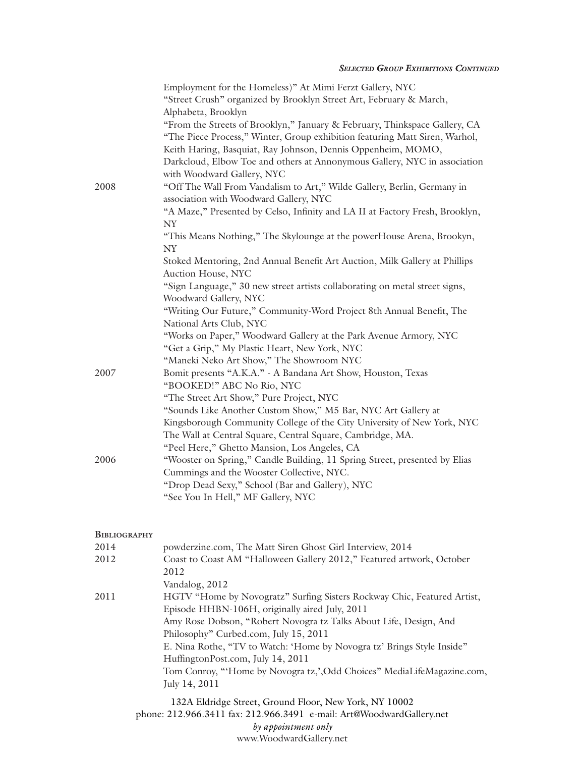## **SELECTED GROUP EXHIBITIONS CONTINUED**

| 2008                | Employment for the Homeless)" At Mimi Ferzt Gallery, NYC<br>"Street Crush" organized by Brooklyn Street Art, February & March,<br>Alphabeta, Brooklyn<br>"From the Streets of Brooklyn," January & February, Thinkspace Gallery, CA<br>"The Piece Process," Winter, Group exhibition featuring Matt Siren, Warhol,<br>Keith Haring, Basquiat, Ray Johnson, Dennis Oppenheim, MOMO,<br>Darkcloud, Elbow Toe and others at Annonymous Gallery, NYC in association<br>with Woodward Gallery, NYC<br>"Off The Wall From Vandalism to Art," Wilde Gallery, Berlin, Germany in<br>association with Woodward Gallery, NYC<br>"A Maze," Presented by Celso, Infinity and LA II at Factory Fresh, Brooklyn,<br>NY<br>"This Means Nothing," The Skylounge at the powerHouse Arena, Brookyn,<br>NY<br>Stoked Mentoring, 2nd Annual Benefit Art Auction, Milk Gallery at Phillips<br>Auction House, NYC<br>"Sign Language," 30 new street artists collaborating on metal street signs,<br>Woodward Gallery, NYC<br>"Writing Our Future," Community-Word Project 8th Annual Benefit, The |
|---------------------|-----------------------------------------------------------------------------------------------------------------------------------------------------------------------------------------------------------------------------------------------------------------------------------------------------------------------------------------------------------------------------------------------------------------------------------------------------------------------------------------------------------------------------------------------------------------------------------------------------------------------------------------------------------------------------------------------------------------------------------------------------------------------------------------------------------------------------------------------------------------------------------------------------------------------------------------------------------------------------------------------------------------------------------------------------------------------------|
|                     | National Arts Club, NYC<br>"Works on Paper," Woodward Gallery at the Park Avenue Armory, NYC<br>"Get a Grip," My Plastic Heart, New York, NYC<br>"Maneki Neko Art Show," The Showroom NYC                                                                                                                                                                                                                                                                                                                                                                                                                                                                                                                                                                                                                                                                                                                                                                                                                                                                                   |
| 2007                | Bomit presents "A.K.A." - A Bandana Art Show, Houston, Texas<br>"BOOKED!" ABC No Rio, NYC<br>"The Street Art Show," Pure Project, NYC<br>"Sounds Like Another Custom Show," M5 Bar, NYC Art Gallery at                                                                                                                                                                                                                                                                                                                                                                                                                                                                                                                                                                                                                                                                                                                                                                                                                                                                      |
|                     | Kingsborough Community College of the City University of New York, NYC<br>The Wall at Central Square, Central Square, Cambridge, MA.<br>"Peel Here," Ghetto Mansion, Los Angeles, CA                                                                                                                                                                                                                                                                                                                                                                                                                                                                                                                                                                                                                                                                                                                                                                                                                                                                                        |
| 2006                | "Wooster on Spring," Candle Building, 11 Spring Street, presented by Elias<br>Cummings and the Wooster Collective, NYC.<br>"Drop Dead Sexy," School (Bar and Gallery), NYC                                                                                                                                                                                                                                                                                                                                                                                                                                                                                                                                                                                                                                                                                                                                                                                                                                                                                                  |
|                     | "See You In Hell," MF Gallery, NYC                                                                                                                                                                                                                                                                                                                                                                                                                                                                                                                                                                                                                                                                                                                                                                                                                                                                                                                                                                                                                                          |
| <b>BIBLIOGRAPHY</b> |                                                                                                                                                                                                                                                                                                                                                                                                                                                                                                                                                                                                                                                                                                                                                                                                                                                                                                                                                                                                                                                                             |
| 2014                | powderzine.com, The Matt Siren Ghost Girl Interview, 2014                                                                                                                                                                                                                                                                                                                                                                                                                                                                                                                                                                                                                                                                                                                                                                                                                                                                                                                                                                                                                   |
| 2012                | Coast to Coast AM "Halloween Gallery 2012," Featured artwork, October<br>2012<br>Vandalog, 2012                                                                                                                                                                                                                                                                                                                                                                                                                                                                                                                                                                                                                                                                                                                                                                                                                                                                                                                                                                             |
| 2011                | HGTV "Home by Novogratz" Surfing Sisters Rockway Chic, Featured Artist,<br>Episode HHBN-106H, originally aired July, 2011<br>Amy Rose Dobson, "Robert Novogra tz Talks About Life, Design, And                                                                                                                                                                                                                                                                                                                                                                                                                                                                                                                                                                                                                                                                                                                                                                                                                                                                              |
|                     | Philosophy" Curbed.com, July 15, 2011                                                                                                                                                                                                                                                                                                                                                                                                                                                                                                                                                                                                                                                                                                                                                                                                                                                                                                                                                                                                                                       |

*by appointment only* www.WoodwardGallery.net

132A Eldridge Street, Ground Floor, New York, NY 10002 phone: 212.966.3411 fax: 212.966.3491 e-mail: Art@WoodwardGallery.net

HuffingtonPost.com, July 14, 2011

July 14, 2011

E. Nina Rothe, "TV to Watch: 'Home by Novogra tz' Brings Style Inside"

Tom Conroy, "'Home by Novogra tz,',Odd Choices" MediaLifeMagazine.com,